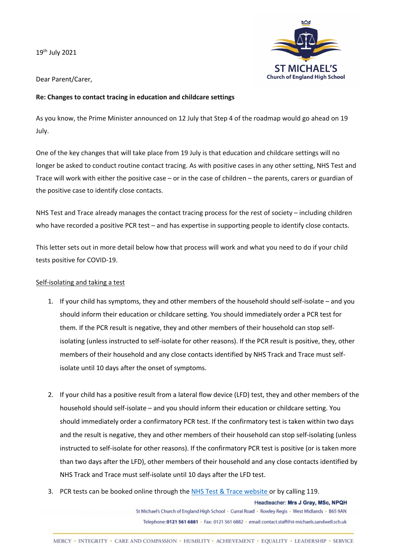19th July 2021



Dear Parent/Carer,

## **Re: Changes to contact tracing in education and childcare settings**

As you know, the Prime Minister announced on 12 July that Step 4 of the roadmap would go ahead on 19 July.

One of the key changes that will take place from 19 July is that education and childcare settings will no longer be asked to conduct routine contact tracing. As with positive cases in any other setting, NHS Test and Trace will work with either the positive case – or in the case of children – the parents, carers or guardian of the positive case to identify close contacts.

NHS Test and Trace already manages the contact tracing process for the rest of society – including children who have recorded a positive PCR test – and has expertise in supporting people to identify close contacts.

This letter sets out in more detail below how that process will work and what you need to do if your child tests positive for COVID-19.

## Self-isolating and taking a test

- 1. If your child has symptoms, they and other members of the household should self-isolate and you should inform their education or childcare setting. You should immediately order a PCR test for them. If the PCR result is negative, they and other members of their household can stop selfisolating (unless instructed to self-isolate for other reasons). If the PCR result is positive, they, other members of their household and any close contacts identified by NHS Track and Trace must selfisolate until 10 days after the onset of symptoms.
- 2. If your child has a positive result from a lateral flow device (LFD) test, they and other members of the household should self-isolate – and you should inform their education or childcare setting. You should immediately order a confirmatory PCR test. If the confirmatory test is taken within two days and the result is negative, they and other members of their household can stop self-isolating (unless instructed to self-isolate for other reasons). If the confirmatory PCR test is positive (or is taken more than two days after the LFD), other members of their household and any close contacts identified by NHS Track and Trace must self-isolate until 10 days after the LFD test.
- 3. PCR tests can be booked online through the NHS Test & Trace website or by calling 119.

Headteacher: Mrs J Gray, MSc, NPQH St Michael's Church of England High School · Curral Road · Rowley Regis · West Midlands · B65 9AN Telephone: 0121 561 6881 · Fax: 0121 561 6882 · email: contact.staff@st-michaels.sandwell.sch.uk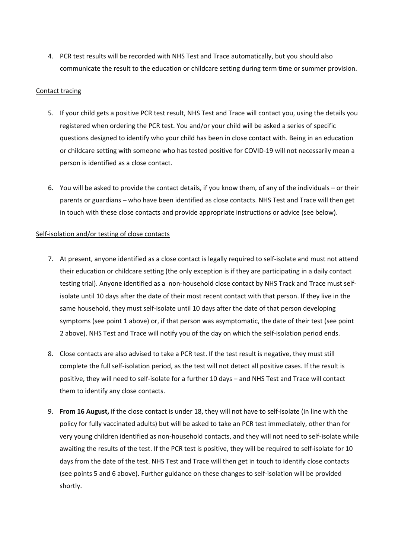4. PCR test results will be recorded with NHS Test and Trace automatically, but you should also communicate the result to the education or childcare setting during term time or summer provision.

## Contact tracing

- 5. If your child gets a positive PCR test result, NHS Test and Trace will contact you, using the details you registered when ordering the PCR test. You and/or your child will be asked a series of specific questions designed to identify who your child has been in close contact with. Being in an education or childcare setting with someone who has tested positive for COVID-19 will not necessarily mean a person is identified as a close contact.
- 6. You will be asked to provide the contact details, if you know them, of any of the individuals or their parents or guardians – who have been identified as close contacts. NHS Test and Trace will then get in touch with these close contacts and provide appropriate instructions or advice (see below).

## Self-isolation and/or testing of close contacts

- 7. At present, anyone identified as a close contact is legally required to self-isolate and must not attend their education or childcare setting (the only exception is if they are participating in a daily contact testing trial). Anyone identified as a non-household close contact by NHS Track and Trace must selfisolate until 10 days after the date of their most recent contact with that person. If they live in the same household, they must self-isolate until 10 days after the date of that person developing symptoms (see point 1 above) or, if that person was asymptomatic, the date of their test (see point 2 above). NHS Test and Trace will notify you of the day on which the self-isolation period ends.
- 8. Close contacts are also advised to take a PCR test. If the test result is negative, they must still complete the full self-isolation period, as the test will not detect all positive cases. If the result is positive, they will need to self-isolate for a further 10 days – and NHS Test and Trace will contact them to identify any close contacts.
- 9. **From 16 August,** if the close contact is under 18, they will not have to self-isolate (in line with the policy for fully vaccinated adults) but will be asked to take an PCR test immediately, other than for very young children identified as non-household contacts, and they will not need to self-isolate while awaiting the results of the test. If the PCR test is positive, they will be required to self-isolate for 10 days from the date of the test. NHS Test and Trace will then get in touch to identify close contacts (see points 5 and 6 above). Further guidance on these changes to self-isolation will be provided shortly.